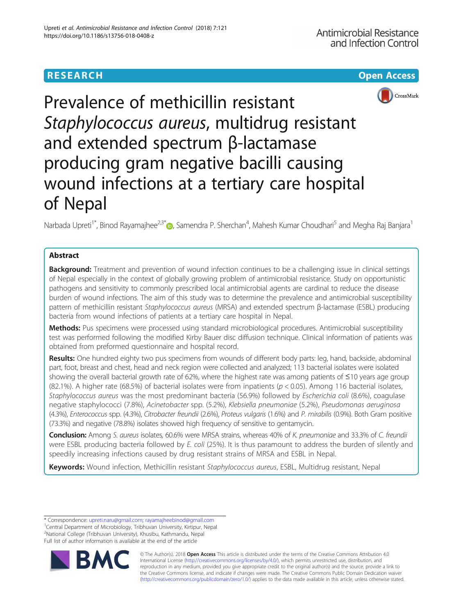



Prevalence of methicillin resistant Staphylococcus aureus, multidrug resistant and extended spectrum β-lactamase producing gram negative bacilli causing wound infections at a tertiary care hospital of Nepal

Narbada Upreti<sup>1\*</sup>[,](http://orcid.org/0000-0003-3007-8901) Binod Rayamajhee<sup>2,3\*</sup>®, Samendra P. Sherchan<sup>4</sup>, Mahesh Kumar Choudhari<sup>5</sup> and Megha Raj Banjara<sup>1</sup>

# Abstract

**Background:** Treatment and prevention of wound infection continues to be a challenging issue in clinical settings of Nepal especially in the context of globally growing problem of antimicrobial resistance. Study on opportunistic pathogens and sensitivity to commonly prescribed local antimicrobial agents are cardinal to reduce the disease burden of wound infections. The aim of this study was to determine the prevalence and antimicrobial susceptibility pattern of methicillin resistant Staphylococcus aureus (MRSA) and extended spectrum β-lactamase (ESBL) producing bacteria from wound infections of patients at a tertiary care hospital in Nepal.

Methods: Pus specimens were processed using standard microbiological procedures. Antimicrobial susceptibility test was performed following the modified Kirby Bauer disc diffusion technique. Clinical information of patients was obtained from preformed questionnaire and hospital record.

Results: One hundred eighty two pus specimens from wounds of different body parts: leg, hand, backside, abdominal part, foot, breast and chest, head and neck region were collected and analyzed; 113 bacterial isolates were isolated showing the overall bacterial growth rate of 62%, where the highest rate was among patients of ≤10 years age group (82.1%). A higher rate (68.5%) of bacterial isolates were from inpatients ( $p < 0.05$ ). Among 116 bacterial isolates, Staphylococcus aureus was the most predominant bacteria (56.9%) followed by Escherichia coli (8.6%), coagulase negative staphylococci (7.8%), Acinetobacter spp. (5.2%), Klebsiella pneumoniae (5.2%), Pseudomonas aeruginosa (4.3%), Enterococcus spp. (4.3%), Citrobacter freundii (2.6%), Proteus vulgaris (1.6%) and P. mirabilis (0.9%). Both Gram positive (73.3%) and negative (78.8%) isolates showed high frequency of sensitive to gentamycin.

Conclusion: Among S. aureus isolates, 60.6% were MRSA strains, whereas 40% of K. pneumoniae and 33.3% of C. freundii were ESBL producing bacteria followed by E. coli (25%). It is thus paramount to address the burden of silently and speedily increasing infections caused by drug resistant strains of MRSA and ESBL in Nepal.

Keywords: Wound infection, Methicillin resistant Staphylococcus aureus, ESBL, Multidrug resistant, Nepal

Central Department of Microbiology, Tribhuvan University, Kirtipur, Nepal 2 National College (Tribhuvan University), Khusibu, Kathmandu, Nepal Full list of author information is available at the end of the article



© The Author(s). 2018 Open Access This article is distributed under the terms of the Creative Commons Attribution 4.0 International License [\(http://creativecommons.org/licenses/by/4.0/](http://creativecommons.org/licenses/by/4.0/)), which permits unrestricted use, distribution, and reproduction in any medium, provided you give appropriate credit to the original author(s) and the source, provide a link to the Creative Commons license, and indicate if changes were made. The Creative Commons Public Domain Dedication waiver [\(http://creativecommons.org/publicdomain/zero/1.0/](http://creativecommons.org/publicdomain/zero/1.0/)) applies to the data made available in this article, unless otherwise stated.

<sup>\*</sup> Correspondence: [upreti.naru@gmail.com](mailto:upreti.naru@gmail.com); [rayamajheebinod@gmail.com](mailto:rayamajheebinod@gmail.com) <sup>1</sup>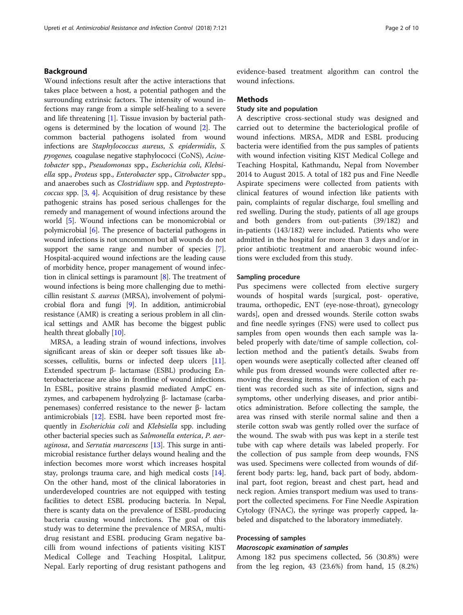## Background

Wound infections result after the active interactions that takes place between a host, a potential pathogen and the surrounding extrinsic factors. The intensity of wound infections may range from a simple self-healing to a severe and life threatening [[1](#page-8-0)]. Tissue invasion by bacterial pathogens is determined by the location of wound [\[2\]](#page-8-0). The common bacterial pathogens isolated from wound infections are Staphylococcus aureus, S. epidermidis, S. pyogenes, coagulase negative staphylococci (CoNS), Acinetobacter spp., Pseudomonas spp., Escherichia coli, Klebsiella spp., Proteus spp., Enterobacter spp., Citrobacter spp., and anaerobes such as Clostridium spp. and Peptostrepto*coccus* spp.  $[3, 4]$  $[3, 4]$  $[3, 4]$  $[3, 4]$ . Acquisition of drug resistance by these pathogenic strains has posed serious challenges for the remedy and management of wound infections around the world [[5\]](#page-8-0). Wound infections can be monomicrobial or polymicrobial [\[6\]](#page-8-0). The presence of bacterial pathogens in wound infections is not uncommon but all wounds do not support the same range and number of species [[7](#page-8-0)]. Hospital-acquired wound infections are the leading cause of morbidity hence, proper management of wound infection in clinical settings is paramount [\[8\]](#page-8-0). The treatment of wound infections is being more challenging due to methicillin resistant S. aureus (MRSA), involvement of polymicrobial flora and fungi [\[9](#page-8-0)]. In addition, antimicrobial resistance (AMR) is creating a serious problem in all clinical settings and AMR has become the biggest public health threat globally [[10](#page-8-0)].

MRSA, a leading strain of wound infections, involves significant areas of skin or deeper soft tissues like ab-scesses, cellulitis, burns or infected deep ulcers [[11](#page-8-0)]. Extended spectrum β- lactamase (ESBL) producing Enterobacteriaceae are also in frontline of wound infections. In ESBL, positive strains plasmid mediated AmpC enzymes, and carbapenem hydrolyzing β- lactamase (carbapenemases) conferred resistance to the newer β- lactam antimicrobials [\[12\]](#page-8-0). ESBL have been reported most frequently in *Escherichia coli* and *Klebsiella* spp. including other bacterial species such as Salmonella enterica, P. aer-uginosa, and Serratia marcescens [[13](#page-8-0)]. This surge in antimicrobial resistance further delays wound healing and the infection becomes more worst which increases hospital stay, prolongs trauma care, and high medical costs [[14](#page-8-0)]. On the other hand, most of the clinical laboratories in underdeveloped countries are not equipped with testing facilities to detect ESBL producing bacteria. In Nepal, there is scanty data on the prevalence of ESBL-producing bacteria causing wound infections. The goal of this study was to determine the prevalence of MRSA, multidrug resistant and ESBL producing Gram negative bacilli from wound infections of patients visiting KIST Medical College and Teaching Hospital, Lalitpur, Nepal. Early reporting of drug resistant pathogens and

## Methods

wound infections.

# Study site and population

A descriptive cross-sectional study was designed and carried out to determine the bacteriological profile of wound infections. MRSA, MDR and ESBL producing bacteria were identified from the pus samples of patients with wound infection visiting KIST Medical College and Teaching Hospital, Kathmandu, Nepal from November 2014 to August 2015. A total of 182 pus and Fine Needle Aspirate specimens were collected from patients with clinical features of wound infection like patients with pain, complaints of regular discharge, foul smelling and red swelling. During the study, patients of all age groups and both genders from out-patients (39/182) and in-patients (143/182) were included. Patients who were admitted in the hospital for more than 3 days and/or in prior antibiotic treatment and anaerobic wound infections were excluded from this study.

## Sampling procedure

Pus specimens were collected from elective surgery wounds of hospital wards [surgical, post- operative, trauma, orthopedic, ENT (eye-nose-throat), gynecology wards], open and dressed wounds. Sterile cotton swabs and fine needle syringes (FNS) were used to collect pus samples from open wounds then each sample was labeled properly with date/time of sample collection, collection method and the patient's details. Swabs from open wounds were aseptically collected after cleaned off while pus from dressed wounds were collected after removing the dressing items. The information of each patient was recorded such as site of infection, signs and symptoms, other underlying diseases, and prior antibiotics administration. Before collecting the sample, the area was rinsed with sterile normal saline and then a sterile cotton swab was gently rolled over the surface of the wound. The swab with pus was kept in a sterile test tube with cap where details was labeled properly. For the collection of pus sample from deep wounds, FNS was used. Specimens were collected from wounds of different body parts: leg, hand, back part of body, abdominal part, foot region, breast and chest part, head and neck region. Amies transport medium was used to transport the collected specimens. For Fine Needle Aspiration Cytology (FNAC), the syringe was properly capped, labeled and dispatched to the laboratory immediately.

# Processing of samples

## Macroscopic examination of samples

Among 182 pus specimens collected, 56 (30.8%) were from the leg region, 43 (23.6%) from hand, 15 (8.2%)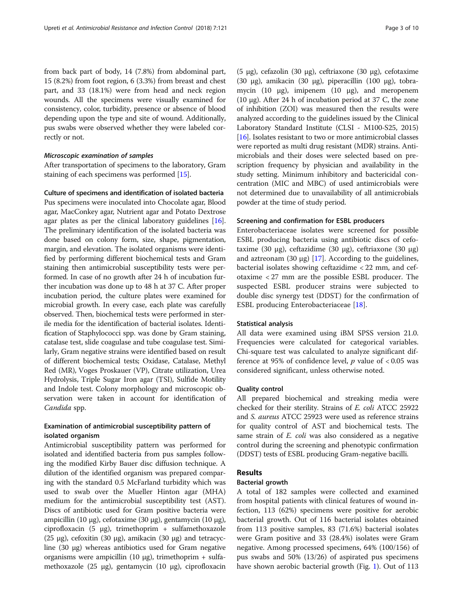from back part of body, 14 (7.8%) from abdominal part, 15 (8.2%) from foot region, 6 (3.3%) from breast and chest part, and 33 (18.1%) were from head and neck region wounds. All the specimens were visually examined for consistency, color, turbidity, presence or absence of blood depending upon the type and site of wound. Additionally, pus swabs were observed whether they were labeled correctly or not.

# Microscopic examination of samples

After transportation of specimens to the laboratory, Gram staining of each specimens was performed [\[15\]](#page-8-0).

## Culture of specimens and identification of isolated bacteria

Pus specimens were inoculated into Chocolate agar, Blood agar, MacConkey agar, Nutrient agar and Potato Dextrose agar plates as per the clinical laboratory guidelines [[16](#page-8-0)]. The preliminary identification of the isolated bacteria was done based on colony form, size, shape, pigmentation, margin, and elevation. The isolated organisms were identified by performing different biochemical tests and Gram staining then antimicrobial susceptibility tests were performed. In case of no growth after 24 h of incubation further incubation was done up to 48 h at 37 C. After proper incubation period, the culture plates were examined for microbial growth. In every case, each plate was carefully observed. Then, biochemical tests were performed in sterile media for the identification of bacterial isolates. Identification of Staphylococci spp. was done by Gram staining, catalase test, slide coagulase and tube coagulase test. Similarly, Gram negative strains were identified based on result of different biochemical tests; Oxidase, Catalase, Methyl Red (MR), Voges Proskauer (VP), Citrate utilization, Urea Hydrolysis, Triple Sugar Iron agar (TSI), Sulfide Motility and Indole test. Colony morphology and microscopic observation were taken in account for identification of Candida spp.

# Examination of antimicrobial susceptibility pattern of isolated organism

Antimicrobial susceptibility pattern was performed for isolated and identified bacteria from pus samples following the modified Kirby Bauer disc diffusion technique. A dilution of the identified organism was prepared comparing with the standard 0.5 McFarland turbidity which was used to swab over the Mueller Hinton agar (MHA) medium for the antimicrobial susceptibility test (AST). Discs of antibiotic used for Gram positive bacteria were ampicillin (10 μg), cefotaxime (30 μg), gentamycin (10 μg), ciprofloxacin (5 μg), trimethoprim + sulfamethoxazole (25 μg), cefoxitin (30 μg), amikacin (30 μg) and tetracycline (30 μg) whereas antibiotics used for Gram negative organisms were ampicillin (10 μg), trimethoprim + sulfamethoxazole (25 μg), gentamycin (10 μg), ciprofloxacin

(5 μg), cefazolin (30 μg), ceftriaxone (30 μg), cefotaxime (30 μg), amikacin (30 μg), piperacillin (100 μg), tobramycin (10 μg), imipenem (10 μg), and meropenem (10 μg). After 24 h of incubation period at 37 C, the zone of inhibition (ZOI) was measured then the results were analyzed according to the guidelines issued by the Clinical Laboratory Standard Institute (CLSI - M100-S25, 2015) [[16](#page-8-0)]. Isolates resistant to two or more antimicrobial classes were reported as multi drug resistant (MDR) strains. Antimicrobials and their doses were selected based on prescription frequency by physician and availability in the study setting. Minimum inhibitory and bactericidal concentration (MIC and MBC) of used antimicrobials were not determined due to unavailability of all antimicrobials powder at the time of study period.

# Screening and confirmation for ESBL producers

Enterobacteriaceae isolates were screened for possible ESBL producing bacteria using antibiotic discs of cefotaxime (30 μg), ceftazidime (30 μg), ceftriaxone (30 μg) and aztreonam (30 μg) [ $17$ ]. According to the guidelines, bacterial isolates showing ceftazidime < 22 mm, and cefotaxime < 27 mm are the possible ESBL producer. The suspected ESBL producer strains were subjected to double disc synergy test (DDST) for the confirmation of ESBL producing Enterobacteriaceae [\[18](#page-8-0)].

## Statistical analysis

All data were examined using iBM SPSS version 21.0. Frequencies were calculated for categorical variables. Chi-square test was calculated to analyze significant difference at 95% of confidence level,  $p$  value of  $< 0.05$  was considered significant, unless otherwise noted.

## Quality control

All prepared biochemical and streaking media were checked for their sterility. Strains of E. coli ATCC 25922 and S. aureus ATCC 25923 were used as reference strains for quality control of AST and biochemical tests. The same strain of E. coli was also considered as a negative control during the screening and phenotypic confirmation (DDST) tests of ESBL producing Gram-negative bacilli.

## Results

## Bacterial growth

A total of 182 samples were collected and examined from hospital patients with clinical features of wound infection, 113 (62%) specimens were positive for aerobic bacterial growth. Out of 116 bacterial isolates obtained from 113 positive samples, 83 (71.6%) bacterial isolates were Gram positive and 33 (28.4%) isolates were Gram negative. Among processed specimens, 64% (100/156) of pus swabs and 50% (13/26) of aspirated pus specimens have shown aerobic bacterial growth (Fig. [1\)](#page-3-0). Out of 113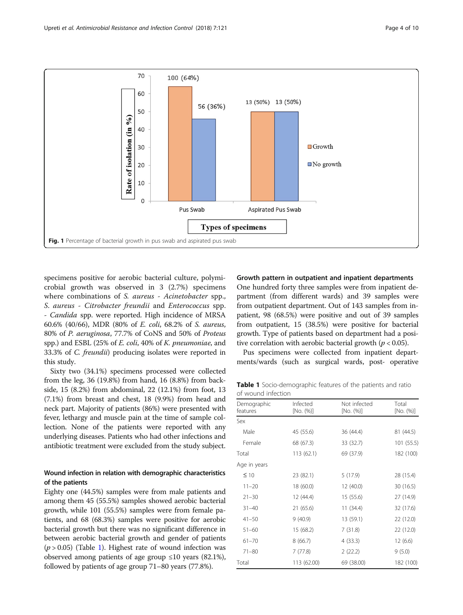<span id="page-3-0"></span>

specimens positive for aerobic bacterial culture, polymicrobial growth was observed in 3 (2.7%) specimens where combinations of *S. aureus - Acinetobacter spp.*, S. aureus - Citrobacter freundii and Enterococcus spp. - Candida spp. were reported. High incidence of MRSA 60.6% (40/66), MDR (80% of E. coli, 68.2% of S. aureus, 80% of P. aeruginosa, 77.7% of CoNS and 50% of Proteus spp.) and ESBL (25% of E. coli, 40% of K. pneumoniae, and 33.3% of C. freundii) producing isolates were reported in this study.

Sixty two (34.1%) specimens processed were collected from the leg, 36 (19.8%) from hand, 16 (8.8%) from backside, 15 (8.2%) from abdominal, 22 (12.1%) from foot, 13 (7.1%) from breast and chest, 18 (9.9%) from head and neck part. Majority of patients (86%) were presented with fever, lethargy and muscle pain at the time of sample collection. None of the patients were reported with any underlying diseases. Patients who had other infections and antibiotic treatment were excluded from the study subject.

# Wound infection in relation with demographic characteristics of the patients

Eighty one (44.5%) samples were from male patients and among them 45 (55.5%) samples showed aerobic bacterial growth, while 101 (55.5%) samples were from female patients, and 68 (68.3%) samples were positive for aerobic bacterial growth but there was no significant difference in between aerobic bacterial growth and gender of patients  $(p > 0.05)$  (Table 1). Highest rate of wound infection was observed among patients of age group  $\leq 10$  years (82.1%), followed by patients of age group 71–80 years (77.8%).

Growth pattern in outpatient and inpatient departments One hundred forty three samples were from inpatient department (from different wards) and 39 samples were from outpatient department. Out of 143 samples from inpatient, 98 (68.5%) were positive and out of 39 samples from outpatient, 15 (38.5%) were positive for bacterial growth. Type of patients based on department had a positive correlation with aerobic bacterial growth ( $p < 0.05$ ).

Pus specimens were collected from inpatient departments/wards (such as surgical wards, post- operative

Table 1 Socio-demographic features of the patients and ratio of wound infection

| Demographic<br>features | Infected<br>[No. (%)] | Not infected<br>[No. (%)] | Total<br>[No. (%)] |
|-------------------------|-----------------------|---------------------------|--------------------|
| Sex                     |                       |                           |                    |
| Male                    | 45 (55.6)             | 36 (44.4)                 | 81 (44.5)          |
| Female                  | 68 (67.3)             | 33 (32.7)                 | 101(55.5)          |
| Total                   | 113(62.1)             | 69 (37.9)                 | 182 (100)          |
| Age in years            |                       |                           |                    |
| $\leq 10$               | 23 (82.1)             | 5(17.9)                   | 28 (15.4)          |
| $11 - 20$               | 18 (60.0)             | 12 (40.0)                 | 30 (16.5)          |
| $21 - 30$               | 12 (44.4)             | 15 (55.6)                 | 27 (14.9)          |
| $31 - 40$               | 21(65.6)              | 11 (34.4)                 | 32 (17.6)          |
| $41 - 50$               | 9(40.9)               | 13 (59.1)                 | 22 (12.0)          |
| $51 - 60$               | 15 (68.2)             | 7(31.8)                   | 22 (12.0)          |
| $61 - 70$               | 8(66.7)               | 4(33.3)                   | 12(6.6)            |
| $71 - 80$               | 7(77.8)               | 2(22.2)                   | 9(5.0)             |
| Total                   | 113 (62.00)           | 69 (38.00)                | 182 (100)          |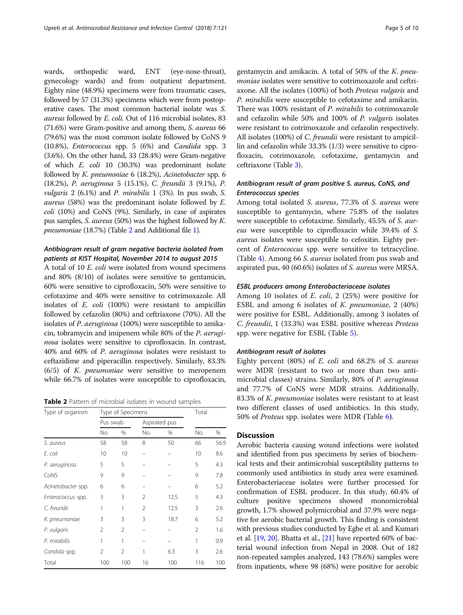wards, orthopedic ward, ENT (eye-nose-throat), gynecology wards) and from outpatient department. Eighty nine (48.9%) specimens were from traumatic cases, followed by 57 (31.3%) specimens which were from postoperative cases. The most common bacterial isolate was S. aureus followed by E. coli. Out of 116 microbial isolates, 83 (71.6%) were Gram-positive and among them, S. aureus 66 (79.6%) was the most common isolate followed by CoNS 9 (10.8%), Enterococcus spp. 5 (6%) and Candida spp. 3 (3.6%). On the other hand, 33 (28.4%) were Gram-negative of which E. coli 10 (30.3%) was predominant isolate followed by K. pneumoniae 6 (18.2%), Acinetobacter spp. 6 (18.2%), P. aeruginosa 5 (15.1%), C. freundii 3 (9.1%), P. vulgaris 2 (6.1%) and P. mirabilis 1 (3%). In pus swab, S. aureus (58%) was the predominant isolate followed by E. coli (10%) and CoNS (9%). Similarly, in case of aspirates pus samples, S. aureus (50%) was the highest followed by K. pneumoniae (18.7%) (Table 2 and Additional file [1](#page-8-0)).

# Antibiogram result of gram negative bacteria isolated from patients at KIST Hospital, November 2014 to august 2015

A total of 10 E. coli were isolated from wound specimens and 80% (8/10) of isolates were sensitive to gentamicin, 60% were sensitive to ciprofloxacin, 50% were sensitive to cefotaxime and 40% were sensitive to cotrimoxazole. All isolates of E. coli (100%) were resistant to ampicillin followed by cefazolin (80%) and ceftriaxone (70%). All the isolates of P. aeruginosa (100%) were susceptible to amikacin, tobramycin and imipenem while 80% of the P. aeruginosa isolates were sensitive to ciprofloxacin. In contrast, 40% and 60% of P. aeruginosa isolates were resistant to ceftazidime and piperacillin respectively. Similarly, 83.3%  $(6/5)$  of K. *pneumoniae* were sensitive to meropenem while 66.7% of isolates were susceptible to ciprofloxacin,

Table 2 Pattern of microbial isolates in wound samples

| Type of organism   |     | Type of Specimens |                |               | Total |      |  |  |
|--------------------|-----|-------------------|----------------|---------------|-------|------|--|--|
|                    |     | Pus swab          |                | Aspirated pus |       |      |  |  |
|                    | No. | %                 | No.            | %             | No.   | %    |  |  |
| S. aureus          | 58  | 58                | 8              | 50            | 66    | 56.9 |  |  |
| E. coli            | 10  | 10                |                |               | 10    | 8.6  |  |  |
| P. aeruginosa      | 5   | 5                 |                |               | 5     | 4.3  |  |  |
| CoNS               | 9   | 9                 |                |               | 9     | 7.8  |  |  |
| Acinetobacter spp. | 6   | 6                 |                |               | 6     | 5.2  |  |  |
| Enterococcus spp.  | 3   | 3                 | 2              | 12.5          | 5     | 4.3  |  |  |
| C. freundii        | 1   | 1                 | $\overline{2}$ | 12.5          | 3     | 2.6  |  |  |
| K. pneumoniae      | 3   | 3                 | 3              | 18.7          | 6     | 5.2  |  |  |
| P. vulgaris        | 2   | $\overline{2}$    |                |               | 2     | 1.6  |  |  |
| P. mirabilis       | 1   | 1                 |                |               | 1     | 0.9  |  |  |
| Candida spp.       | 2   | $\overline{2}$    | 1              | 6.3           | 3     | 2.6  |  |  |
| Total              | 100 | 100               | 16             | 100           | 116   | 100  |  |  |

gentamycin and amikacin. A total of 50% of the K. pneumoniae isolates were sensitive to cotrimoxazole and ceftriaxone. All the isolates (100%) of both Proteus vulgaris and P. mirabilis were susceptible to cefotaxime and amikacin. There was 100% resistant of P. mirabilis to cotrimoxazole and cefazolin while 50% and 100% of P. vulgaris isolates were resistant to cotrimoxazole and cefazolin respectively. All isolates (100%) of *C. freundii* were resistant to ampicillin and cefazolin while 33.3% (1/3) were sensitive to ciprofloxacin, cotrimoxazole, cefotaxime, gentamycin and ceftriaxone (Table [3\)](#page-5-0).

# Antibiogram result of gram positive S. aureus, CoNS, and Enterococcus species

Among total isolated S. aureus, 77.3% of S. aureus were susceptible to gentamycin, where 75.8% of the isolates were susceptible to cefotaxime. Similarly, 45.5% of S. aureus were susceptible to ciprofloxacin while 39.4% of S. aureus isolates were susceptible to cefoxitin. Eighty percent of Enterococcus spp. were sensitive to tetracycline. (Table [4](#page-5-0)). Among 66 S. aureus isolated from pus swab and aspirated pus, 40 (60.6%) isolates of S. aureus were MRSA.

#### ESBL producers among Enterobacteriaceae isolates

Among 10 isolates of E. coli, 2 (25%) were positive for ESBL and among 6 isolates of K. pneumoniae, 2 (40%) were positive for ESBL. Additionally, among 3 isolates of C. freundii, 1 (33.3%) was ESBL positive whereas Proteus spp. were negative for ESBL (Table [5\)](#page-6-0).

## Antibiogram result of isolates

Eighty percent (80%) of E. coli and 68.2% of S. aureus were MDR (resistant to two or more than two antimicrobial classes) strains. Similarly, 80% of P. aeruginosa and 77.7% of CoNS were MDR strains. Additionally, 83.3% of K. pneumoniae isolates were resistant to at least two different classes of used antibiotics. In this study, 50% of Proteus spp. isolates were MDR (Table [6](#page-6-0)).

## **Discussion**

Aerobic bacteria causing wound infections were isolated and identified from pus specimens by series of biochemical tests and their antimicrobial susceptibility patterns to commonly used antibiotics in study area were examined. Enterobacteriaceae isolates were further processed for confirmation of ESBL producer. In this study, 60.4% of culture positive specimens showed monomicrobial growth, 1.7% showed polymicrobial and 37.9% were negative for aerobic bacterial growth. This finding is consistent with previous studies conducted by Egbe et al. and Kumari et al.  $[19, 20]$  $[19, 20]$  $[19, 20]$  $[19, 20]$ . Bhatta et al.,  $[21]$  $[21]$  $[21]$  have reported 60% of bacterial wound infection from Nepal in 2008. Out of 182 non-repeated samples analyzed, 143 (78.6%) samples were from inpatients, where 98 (68%) were positive for aerobic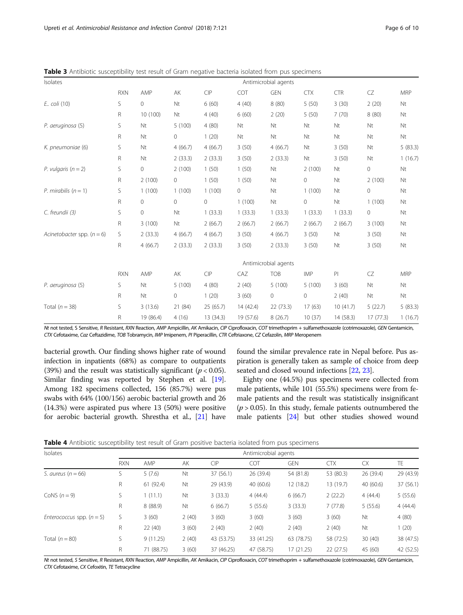| Isolates                     |                      |                |             |             |           | Antimicrobial agents   |            |            |             |                        |
|------------------------------|----------------------|----------------|-------------|-------------|-----------|------------------------|------------|------------|-------------|------------------------|
|                              | <b>RXN</b>           | AMP            | AK          | CIP         | COT       | GEN                    | <b>CTX</b> | <b>CTR</b> | CZ          | <b>MRP</b>             |
| E., coli (10)                | S                    | $\overline{0}$ | Nt          | 6(60)       | 4(40)     | 8(80)                  | 5(50)      | 3(30)      | 2(20)       | Nt                     |
|                              | R                    | 10 (100)       | Nt          | 4(40)       | 6(60)     | 2(20)                  | 5(50)      | 7(70)      | 8 (80)      | $\mathsf{N}\mathsf{t}$ |
| P. aeruginosa (5)            | S                    | Nt             | 5(100)      | 4(80)       | Nt        | Nt                     | Nt         | Nt         | Nt          | Nt                     |
|                              | R                    | Nt             | $\circ$     | 1(20)       | Nt        | Nt                     | Nt         | Nt         | Nt          | $\mathsf{N}\mathsf{t}$ |
| K. pneumoniae (6)            | S                    | Nt             | 4(66.7)     | 4(66.7)     | 3(50)     | 4(66.7)                | Nt         | 3(50)      | Nt          | 5(83.3)                |
|                              | R                    | Nt             | 2(33.3)     | 2(33.3)     | 3(50)     | 2(33.3)                | Nt         | 3(50)      | Nt          | 1(16.7)                |
| P. vulgaris $(n = 2)$        | S                    | $\overline{0}$ | 2(100)      | 1(50)       | 1(50)     | Nt                     | 2(100)     | Nt         | 0           | Nt                     |
|                              | R                    | 2(100)         | $\circ$     | 1(50)       | 1(50)     | $\mathsf{N}\mathsf{t}$ | 0          | Nt         | 2(100)      | $\mathsf{N}\mathsf{t}$ |
| P. mirabilis $(n = 1)$       | S                    | 1(100)         | 1(100)      | 1(100)      | $\circ$   | Nt                     | 1(100)     | Nt         | $\mathbf 0$ | $\mathsf{N}\mathsf{t}$ |
|                              | R                    | 0              | $\mathbf 0$ | $\mathbf 0$ | 1(100)    | Nt                     | 0          | Nt         | 1(100)      | Nt                     |
| C. freundii (3)              | S                    | $\mathbf{0}$   | Nt          | 1(33.3)     | 1(33.3)   | 1(33.3)                | 1(33.3)    | 1(33.3)    | $\mathbf 0$ | Nt                     |
|                              | R                    | 3(100)         | Nt          | 2(66.7)     | 2(66.7)   | 2(66.7)                | 2(66.7)    | 2(66.7)    | 3(100)      | $\mathsf{N}\mathsf{t}$ |
| Acinetobacter spp. $(n = 6)$ | S                    | 2(33.3)        | 4(66.7)     | 4(66.7)     | 3(50)     | 4(66.7)                | 3(50)      | Nt         | 3(50)       | Nt                     |
|                              | R                    | 4(66.7)        | 2(33.3)     | 2(33.3)     | 3(50)     | 2(33.3)                | 3(50)      | Nt         | 3(50)       | Nt                     |
|                              | Antimicrobial agents |                |             |             |           |                        |            |            |             |                        |
|                              | <b>RXN</b>           | AMP            | AK          | CIP         | CAZ       | <b>TOB</b>             | <b>IMP</b> | PI         | CZ          | <b>MRP</b>             |
| P. aeruginosa (5)            | S                    | Nt             | 5(100)      | 4(80)       | 2(40)     | 5(100)                 | 5(100)     | 3(60)      | Nt          | Nt                     |
|                              | R                    | Nt             | $\mathbf 0$ | 1(20)       | 3(60)     | $\mathbf{0}$           | 0          | 2(40)      | Nt          | Nt                     |
| Total $(n = 38)$             | S                    | 3(13.6)        | 21 (84)     | 25(65.7)    | 14 (42.4) | 22(73.3)               | 17(63)     | 10(41.7)   | 5(22.7)     | 5(83.3)                |
|                              | R                    | 19 (86.4)      | 4(16)       | 13 (34.3)   | 19 (57.6) | 8(26.7)                | 10(37)     | 14(58.3)   | 17(77.3)    | 1(16.7)                |

<span id="page-5-0"></span>Table 3 Antibiotic susceptibility test result of Gram negative bacteria isolated from pus specimens

Nt not tested, S Sensitive, R Resistant, RXN Reaction, AMP Ampicillin, AK Amikacin, CIP Ciprofloxacin, COT trimethoprim + sulfamethoxazole (cotrimoxazole), GEN Gentamicin, CTX Cefotaxime, Caz Ceftazidime, TOB Tobramycin, IMP Imipenem, PI Piperacillin, CTR Ceftriaxone, CZ Cefazolin, MRP Meropenem

bacterial growth. Our finding shows higher rate of wound infection in inpatients (68%) as compare to outpatients (39%) and the result was statistically significant ( $p < 0.05$ ). Similar finding was reported by Stephen et al. [[19](#page-8-0)]. Among 182 specimens collected, 156 (85.7%) were pus swabs with 64% (100/156) aerobic bacterial growth and 26 (14.3%) were aspirated pus where 13 (50%) were positive for aerobic bacterial growth. Shrestha et al., [\[21\]](#page-8-0) have

found the similar prevalence rate in Nepal before. Pus aspiration is generally taken as sample of choice from deep seated and closed wound infections [[22,](#page-8-0) [23\]](#page-8-0).

Eighty one (44.5%) pus specimens were collected from male patients, while 101 (55.5%) specimens were from female patients and the result was statistically insignificant  $(p > 0.05)$ . In this study, female patients outnumbered the male patients [\[24\]](#page-9-0) but other studies showed wound

| <b>Table 4</b> Antibiotic susceptibility test result of Gram positive bacteria isolated from pus specimens |  |  |  |
|------------------------------------------------------------------------------------------------------------|--|--|--|
|------------------------------------------------------------------------------------------------------------|--|--|--|

| Isolates                    | Antimicrobial agents |            |       |            |            |            |            |           |           |
|-----------------------------|----------------------|------------|-------|------------|------------|------------|------------|-----------|-----------|
|                             | <b>RXN</b>           | AMP        | AK    | <b>CIP</b> | <b>COT</b> | GEN        | <b>CTX</b> | <b>CX</b> | TE.       |
| S. aureus $(n = 66)$        |                      | 5(7.6)     | Nt    | 37(56.1)   | 26 (39.4)  | 54 (81.8)  | 53 (80.3)  | 26 (39.4) | 29 (43.9) |
|                             | R                    | 61 (92.4)  | Nt    | 29 (43.9)  | 40(60.6)   | 12 (18.2)  | 13 (19.7)  | 40 (60.6) | 37 (56.1) |
| CoNS $(n=9)$                |                      | 1(11.1)    | Nt    | 3(33.3)    | 4(44.4)    | 6(66.7)    | 2(22.2)    | 4(44.4)   | 5(55.6)   |
|                             | R                    | 8(88.9)    | Nt    | 6(66.7)    | 5(55.6)    | 3(33.3)    | 7(77.8)    | 5(55.6)   | 4(44.4)   |
| Enterococcus spp. $(n = 5)$ | S                    | 3(60)      | 2(40) | 3(60)      | 3(60)      | 3(60)      | 3(60)      | Nt        | 4(80)     |
|                             | R                    | 22(40)     | 3(60) | 2(40)      | 2(40)      | 2(40)      | 2(40)      | Nt        | 1(20)     |
| Total $(n = 80)$            |                      | 9(11.25)   | 2(40) | 43 (53.75) | 33 (41.25) | 63 (78.75) | 58 (72.5)  | 30(40)    | 38 (47.5) |
|                             | R                    | 71 (88.75) | 3(60) | 37 (46.25) | 47 (58.75) | 17(21.25)  | 22(27.5)   | 45 (60)   | 42 (52.5) |

Nt not tested, S Sensitive, R Resistant, RXN Reaction, AMP Ampicillin, AK Amikacin, CIP Ciprofloxacin, COT trimethoprim + sulfamethoxazole (cotrimoxazole), GEN Gentamicin, CTX Cefotaxime, CX Cefoxitin, TE Tetracycline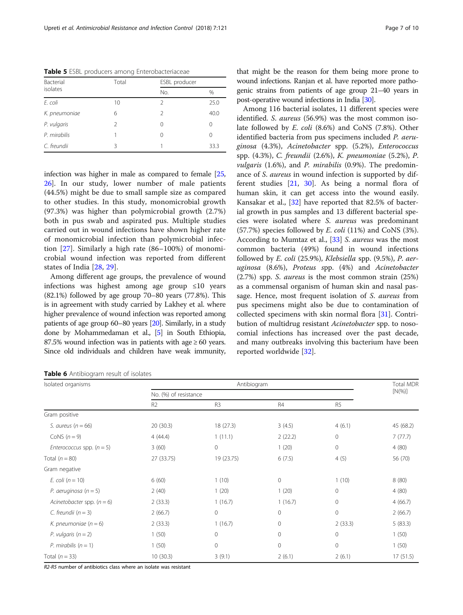<span id="page-6-0"></span>Table 5 ESBL producers among Enterobacteriaceae

| Bacterial     | Total         |               | ESBL producer |  |  |
|---------------|---------------|---------------|---------------|--|--|
| isolates      |               | No.           | %             |  |  |
| E. coli       | 10            | 2             | 25.0          |  |  |
| K. pneumoniae | 6             | $\mathcal{P}$ | 40.0          |  |  |
| P. vulgaris   | $\mathcal{P}$ | 0             | 0             |  |  |
| P. mirabilis  |               | 0             | $\Omega$      |  |  |
| C. freundii   | ξ             |               | 33.3          |  |  |

infection was higher in male as compared to female [[25](#page-9-0), [26](#page-9-0)]. In our study, lower number of male patients (44.5%) might be due to small sample size as compared to other studies. In this study, monomicrobial growth (97.3%) was higher than polymicrobial growth (2.7%) both in pus swab and aspirated pus. Multiple studies carried out in wound infections have shown higher rate of monomicrobial infection than polymicrobial infection [[27\]](#page-9-0). Similarly a high rate (86–100%) of monomicrobial wound infection was reported from different states of India [\[28](#page-9-0), [29\]](#page-9-0).

Among different age groups, the prevalence of wound infections was highest among age group ≤10 years (82.1%) followed by age group 70–80 years (77.8%). This is in agreement with study carried by Lakhey et al. where higher prevalence of wound infection was reported among patients of age group 60–80 years [[20\]](#page-8-0). Similarly, in a study done by Mohammedaman et al., [\[5\]](#page-8-0) in South Ethiopia, 87.5% wound infection was in patients with age  $\geq 60$  years. Since old individuals and children have weak immunity, that might be the reason for them being more prone to wound infections. Ranjan et al. have reported more pathogenic strains from patients of age group 21–40 years in post-operative wound infections in India [[30](#page-9-0)].

Among 116 bacterial isolates, 11 different species were identified. S. aureus (56.9%) was the most common isolate followed by E. coli (8.6%) and CoNS (7.8%). Other identified bacteria from pus specimens included P. aeruginosa (4.3%), Acinetobacter spp. (5.2%), Enterococcus spp. (4.3%), C. freundii (2.6%), K. pneumoniae (5.2%), P. vulgaris (1.6%), and P. mirabilis (0.9%). The predominance of S. aureus in wound infection is supported by different studies [\[21,](#page-8-0) [30](#page-9-0)]. As being a normal flora of human skin, it can get access into the wound easily. Kansakar et al., [[32](#page-9-0)] have reported that 82.5% of bacterial growth in pus samples and 13 different bacterial species were isolated where S. aureus was predominant (57.7%) species followed by  $E.$  coli (11%) and CoNS (3%). According to Mumtaz et al., [\[33](#page-9-0)] S. aureus was the most common bacteria (49%) found in wound infections followed by E. coli (25.9%), Klebsiella spp. (9.5%), P. aeruginosa (8.6%), Proteus spp. (4%) and Acinetobacter (2.7%) spp. S. aureus is the most common strain (25%) as a commensal organism of human skin and nasal passage. Hence, most frequent isolation of S. aureus from pus specimens might also be due to contamination of collected specimens with skin normal flora [[31\]](#page-9-0). Contribution of multidrug resistant Acinetobacter spp. to nosocomial infections has increased over the past decade, and many outbreaks involving this bacterium have been reported worldwide [\[32\]](#page-9-0).

Table 6 Antibiogram result of isolates

| Isolated organisms           |                |                       | <b>Total MDR</b><br>$[N(\%)]$ |                |           |  |  |
|------------------------------|----------------|-----------------------|-------------------------------|----------------|-----------|--|--|
|                              |                | No. (%) of resistance |                               |                |           |  |  |
|                              | R <sub>2</sub> | R <sub>3</sub>        | R <sub>4</sub>                | R <sub>5</sub> |           |  |  |
| Gram positive                |                |                       |                               |                |           |  |  |
| S. aureus ( $n = 66$ )       | 20 (30.3)      | 18 (27.3)             | 3(4.5)                        | 4(6.1)         | 45 (68.2) |  |  |
| CoNS $(n=9)$                 | 4(44.4)        | 1(11.1)               | 2(22.2)                       | $\mathbf 0$    | 7(77.7)   |  |  |
| Enterococcus spp. $(n = 5)$  | 3(60)          | $\mathbf 0$           | 1(20)                         | $\mathbf{0}$   | 4(80)     |  |  |
| Total $(n = 80)$             | 27 (33.75)     | 19 (23.75)            | 6(7.5)                        | 4(5)           | 56 (70)   |  |  |
| Gram negative                |                |                       |                               |                |           |  |  |
| E. coli $(n = 10)$           | 6(60)          | 1(10)                 | $\circ$                       | 1(10)          | 8(80)     |  |  |
| P. aeruginosa ( $n = 5$ )    | 2(40)          | 1(20)                 | 1(20)                         | $\mathbf 0$    | 4(80)     |  |  |
| Acinetobacter spp. $(n = 6)$ | 2(33.3)        | 1(16.7)               | 1(16.7)                       | $\mathbf 0$    | 4(66.7)   |  |  |
| C. freundii $(n = 3)$        | 2(66.7)        | 0                     | 0                             | $\mathbf{0}$   | 2(66.7)   |  |  |
| K. pneumoniae $(n = 6)$      | 2(33.3)        | 1(16.7)               | $\Omega$                      | 2(33.3)        | 5(83.3)   |  |  |
| P. vulgaris $(n=2)$          | 1(50)          | $\circ$               | $\mathbf{0}$                  | $\mathbf 0$    | 1(50)     |  |  |
| P. mirabilis $(n = 1)$       | 1(50)          | $\mathbf 0$           | $\mathbf{0}$                  | $\mathbf{0}$   | 1(50)     |  |  |
| Total $(n = 33)$             | 10(30.3)       | 3(9.1)                | 2(6.1)                        | 2(6.1)         | 17(51.5)  |  |  |

R2-R5 number of antibiotics class where an isolate was resistant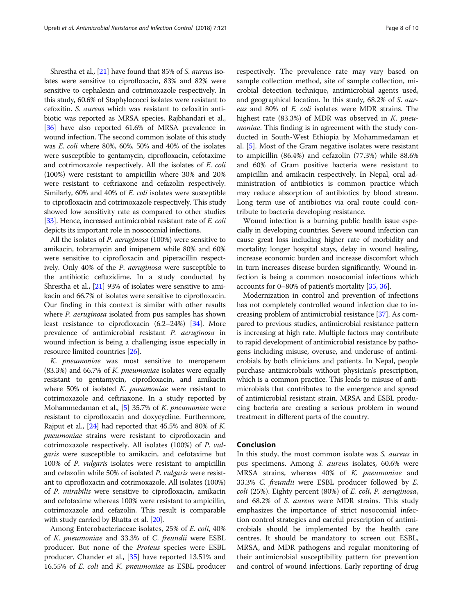Shrestha et al., [[21](#page-8-0)] have found that 85% of S. aureus isolates were sensitive to ciprofloxacin, 83% and 82% were sensitive to cephalexin and cotrimoxazole respectively. In this study, 60.6% of Staphylococci isolates were resistant to cefoxitin. S. aureus which was resistant to cefoxitin antibiotic was reported as MRSA species. Rajbhandari et al., [[36](#page-9-0)] have also reported 61.6% of MRSA prevalence in wound infection. The second common isolate of this study was E. coli where 80%, 60%, 50% and 40% of the isolates were susceptible to gentamycin, ciprofloxacin, cefotaxime and cotrimoxazole respectively. All the isolates of E. coli (100%) were resistant to ampicillin where 30% and 20% were resistant to ceftriaxone and cefazolin respectively. Similarly, 60% and 40% of E. coli isolates were susceptible to ciprofloxacin and cotrimoxazole respectively. This study showed low sensitivity rate as compared to other studies [[33](#page-9-0)]. Hence, increased antimicrobial resistant rate of *E. coli* depicts its important role in nosocomial infections.

All the isolates of P. aeruginosa (100%) were sensitive to amikacin, tobramycin and imipenem while 80% and 60% were sensitive to ciprofloxacin and piperacillin respectively. Only 40% of the P. aeruginosa were susceptible to the antibiotic ceftazidime. In a study conducted by Shrestha et al., [\[21\]](#page-8-0) 93% of isolates were sensitive to amikacin and 66.7% of isolates were sensitive to ciprofloxacin. Our finding in this context is similar with other results where *P. aeruginosa* isolated from pus samples has shown least resistance to ciprofloxacin (6.2–24%) [[34](#page-9-0)]. More prevalence of antimicrobial resistant P. aeruginosa in wound infection is being a challenging issue especially in resource limited countries [[26](#page-9-0)].

K. pneumoniae was most sensitive to meropenem  $(83.3\%)$  and 66.7% of K. *pneumoniae* isolates were equally resistant to gentamycin, ciprofloxacin, and amikacin where 50% of isolated K. pneumoniae were resistant to cotrimoxazole and ceftriaxone. In a study reported by Mohammedaman et al., [\[5\]](#page-8-0) 35.7% of K. pneumoniae were resistant to ciprofloxacin and doxycycline. Furthermore, Rajput et al.,  $[24]$  $[24]$  $[24]$  had reported that 45.5% and 80% of K. pneumoniae strains were resistant to ciprofloxacin and cotrimoxazole respectively. All isolates (100%) of P. vulgaris were susceptible to amikacin, and cefotaxime but 100% of P. vulgaris isolates were resistant to ampicillin and cefazolin while 50% of isolated P. vulgaris were resistant to ciprofloxacin and cotrimoxazole. All isolates (100%) of P. mirabilis were sensitive to ciprofloxacin, amikacin and cefotaxime whereas 100% were resistant to ampicillin, cotrimoxazole and cefazolin. This result is comparable with study carried by Bhatta et al. [\[20\]](#page-8-0).

Among Enterobacteriaceae isolates, 25% of E. coli, 40% of K. pneumoniae and 33.3% of C. freundii were ESBL producer. But none of the Proteus species were ESBL producer. Chander et al., [[35\]](#page-9-0) have reported 13.51% and 16.55% of E. coli and K. pneumoniae as ESBL producer respectively. The prevalence rate may vary based on sample collection method, site of sample collection, microbial detection technique, antimicrobial agents used, and geographical location. In this study, 68.2% of S. aureus and 80% of E. coli isolates were MDR strains. The highest rate (83.3%) of MDR was observed in K. pneumoniae. This finding is in agreement with the study conducted in South-West Ethiopia by Mohammedaman et al. [\[5](#page-8-0)]. Most of the Gram negative isolates were resistant to ampicillin (86.4%) and cefazolin (77.3%) while 88.6% and 60% of Gram positive bacteria were resistant to ampicillin and amikacin respectively. In Nepal, oral administration of antibiotics is common practice which may reduce absorption of antibiotics by blood stream. Long term use of antibiotics via oral route could contribute to bacteria developing resistance.

Wound infection is a burning public health issue especially in developing countries. Severe wound infection can cause great loss including higher rate of morbidity and mortality; longer hospital stays, delay in wound healing, increase economic burden and increase discomfort which in turn increases disease burden significantly. Wound infection is being a common nosocomial infections which accounts for 0–80% of patient's mortality [\[35,](#page-9-0) [36](#page-9-0)].

Modernization in control and prevention of infections has not completely controlled wound infection due to increasing problem of antimicrobial resistance [[37\]](#page-9-0). As compared to previous studies, antimicrobial resistance pattern is increasing at high rate. Multiple factors may contribute to rapid development of antimicrobial resistance by pathogens including misuse, overuse, and underuse of antimicrobials by both clinicians and patients. In Nepal, people purchase antimicrobials without physician's prescription, which is a common practice. This leads to misuse of antimicrobials that contributes to the emergence and spread of antimicrobial resistant strain. MRSA and ESBL producing bacteria are creating a serious problem in wound treatment in different parts of the country.

## Conclusion

In this study, the most common isolate was S. aureus in pus specimens. Among S. aureus isolates, 60.6% were MRSA strains, whereas 40% of K. pneumoniae and 33.3% C. freundii were ESBL producer followed by E. coli (25%). Eighty percent (80%) of E. coli, P. aeruginosa, and 68.2% of S. aureus were MDR strains. This study emphasizes the importance of strict nosocomial infection control strategies and careful prescription of antimicrobials should be implemented by the health care centres. It should be mandatory to screen out ESBL, MRSA, and MDR pathogens and regular monitoring of their antimicrobial susceptibility pattern for prevention and control of wound infections. Early reporting of drug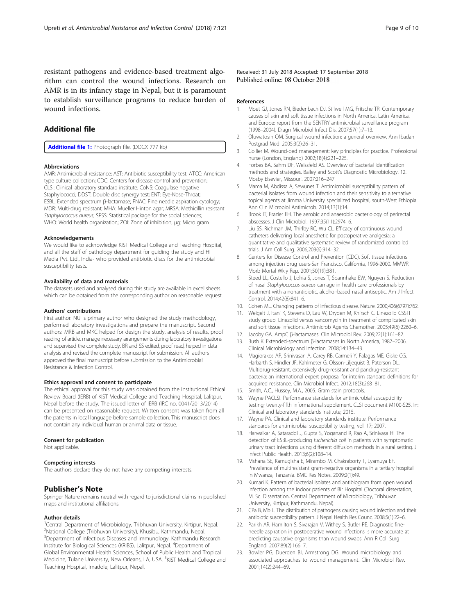<span id="page-8-0"></span>resistant pathogens and evidence-based treatment algorithm can control the wound infections. Research on AMR is in its infancy stage in Nepal, but it is paramount to establish surveillance programs to reduce burden of wound infections.

# Additional file

[Additional file 1:](https://doi.org/10.1186/s13756-018-0408-z) Photograph file. (DOCX 777 kb)

#### Abbreviations

AMR: Antimicrobial resistance; AST: Antibiotic susceptibility test; ATCC: American type culture collection; CDC: Centers for disease control and prevention; CLSI: Clinical laboratory standard institute; CoNS: Coagulase negative Staphylococci; DDST: Double disc synergy test; ENT: Eye-Nose-Throat; ESBL: Extended spectrum β-lactamase; FNAC: Fine needle aspiration cytology; MDR: Multi-drug resistant; MHA: Mueller Hinton agar; MRSA: Methicillin resistant Staphylococcus aureus; SPSS: Statistical package for the social sciences; WHO: World health organization; ZOI: Zone of inhibition; μg: Micro gram

#### Acknowledgements

We would like to acknowledge KIST Medical College and Teaching Hospital, and all the staff of pathology department for guiding the study and Hi Media Pvt. Ltd., India- who provided antibiotic discs for the antimicrobial susceptibility tests.

#### Availability of data and materials

The datasets used and analysed during this study are available in excel sheets which can be obtained from the corresponding author on reasonable request.

#### Authors' contributions

First author: NU is primary author who designed the study methodology, performed laboratory investigations and prepare the manuscript. Second authors: MRB and MKC helped for design the study, analysis of results, proof reading of article, manage necessary arrangements during laboratory investigations and supervised the complete study. BR and SS edited, proof read, helped in data analysis and revised the complete manuscript for submission. All authors approved the final manuscript before submission to the Antimicrobial Resistance & Infection Control.

#### Ethics approval and consent to participate

The ethical approval for this study was obtained from the Institutional Ethical Review Board (IERB) of KIST Medical College and Teaching Hospital, Lalitpur, Nepal before the study. The issued letter of IERB (IRC no. 0041/2013/2014) can be presented on reasonable request. Written consent was taken from all the patients in local language before sample collection. This manuscript does not contain any individual human or animal data or tissue.

#### Consent for publication

Not applicable.

#### Competing interests

The authors declare they do not have any competing interests.

#### Publisher's Note

Springer Nature remains neutral with regard to jurisdictional claims in published maps and institutional affiliations.

#### Author details

<sup>1</sup>Central Department of Microbiology, Tribhuvan University, Kirtipur, Nepal. 2 National College (Tribhuvan University), Khusibu, Kathmandu, Nepal. <sup>3</sup>Department of Infectious Diseases and Immunology, Kathmandu Research Institute for Biological Sciences (KRIBS), Lalitpur, Nepal. <sup>4</sup> Department of Global Environmental Health Sciences, School of Public Health and Tropical Medicine, Tulane University, New Orleans, LA, USA. <sup>5</sup>KIST Medical College and Teaching Hospital, Imadole, Lalitpur, Nepal.

## Received: 31 July 2018 Accepted: 17 September 2018 Published online: 08 October 2018

## References

- 1. Moet GJ, Jones RN, Biedenbach DJ, Stilwell MG, Fritsche TR. Contemporary causes of skin and soft tissue infections in North America, Latin America, and Europe: report from the SENTRY antimicrobial surveillance program (1998–2004). Diagn Microbiol Infect Dis. 2007;57(1):7–13.
- 2. Oluwatosin OM. Surgical wound infection: a general overview. Ann Ibadan Postgrad Med. 2005;3(2):26–31.
- 3. Collier M. Wound-bed management: key principles for practice. Professional nurse (London, England) 2002;18(4):221–225.
- 4. Forbes BA, Sahm DF, Weissfeld AS. Overview of bacterial identification methods and strategies. Bailey and Scott's Diagnostic Microbiology. 12. Mosby Elsevier, Missouri. 2007:216–247.
- 5. Mama M, Abdissa A, Sewunet T. Antimicrobial susceptibility pattern of bacterial isolates from wound infection and their sensitivity to alternative topical agents at Jimma University specialized hospital, south-West Ethiopia. Ann Clin Microbiol Antimicrob. 2014;13(1):14.
- 6. Brook IT, Frazier EH. The aerobic and anaerobic bacteriology of perirectal abscesses. J Clin Microbiol. 1997;35(11):2974–6.
- 7. Liu SS, Richman JM, Thirlby RC, Wu CL. Efficacy of continuous wound catheters delivering local anesthetic for postoperative analgesia: a quantitative and qualitative systematic review of randomized controlled trials. J Am Coll Surg. 2006;203(6):914–32.
- 8. Centers for Disease Control and Prevention (CDC). Soft tissue infections among injection drug users-San Francisco, California, 1996-2000. MMWR Morb Mortal Wkly Rep. 2001;50(19):381.
- 9. Steed LL, Costello J, Lohia S, Jones T, Spannhake EW, Nguyen S. Reduction of nasal Staphylococcus aureus carriage in health care professionals by treatment with a nonantibiotic, alcohol-based nasal antiseptic. Am J Infect Control. 2014;42(8):841–6.
- 10. Cohen ML. Changing patterns of infectious disease. Nature. 2000;406(6797):762.
- 11. Weigelt J, Itani K, Stevens D, Lau W, Dryden M, Knirsch C. Linezolid CSSTI study group. Linezolid versus vancomycin in treatment of complicated skin and soft tissue infections. Antimicrob Agents Chemother. 2005;49(6):2260–6.
- 12. Jacoby GA. AmpC β-lactamases. Clin Microbiol Rev. 2009;22(1):161–82.
- 13. Bush K. Extended-spectrum β-lactamases in North America, 1987–2006. Clinical Microbiology and Infection. 2008;14:134–43.
- 14. Magiorakos AP, Srinivasan A, Carey RB, Carmeli Y, Falagas ME, Giske CG, Harbarth S, Hindler JF, Kahlmeter G, Olsson-Liljequist B, Paterson DL. Multidrug-resistant, extensively drug-resistant and pandrug-resistant bacteria: an international expert proposal for interim standard definitions for acquired resistance. Clin Microbiol Infect. 2012;18(3):268–81.
- 15. Smith, A.C., Hussey, M.A., 2005. Gram stain protocols.
- 16. Wayne PACLSI. Performance standards for antimicrobial susceptibility testing; twenty-fifth informational supplement. CLSI document M100-S25. In: Clinical and laboratory standards institute; 2015.
- 17. Wayne PA. Clinical and laboratory standards institute. Performance standards for antimicrobial susceptibility testing, vol. 17; 2007.
- 18. Harwalkar A, Sataraddi J, Gupta S, Yoganand R, Rao A, Srinivasa H. The detection of ESBL-producing Escherichia coli in patients with symptomatic urinary tract infections using different diffusion methods in a rural setting. J Infect Public Health. 2013;6(2):108–14.
- 19. Mshana SE, Kamugisha E, Mirambo M, Chakraborty T, Lyamuya EF. Prevalence of multiresistant gram-negative organisms in a tertiary hospital in Mwanza, Tanzania. BMC Res Notes. 2009;2(1):49.
- 20. Kumari K. Pattern of bacterial isolates and antibiogram from open wound infection among the indoor patients of Bir Hospital (Doctoral dissertation, M. Sc. Dissertation, Central Department of Microbiology, Tribhuvan University, Kirtipur, Kathmandu, Nepal).
- 21. CPa B, Mb L. The distribution of pathogens causing wound infection and their antibiotic susceptibility pattern. J Nepal Health Res Counc. 2008;5(1):22–6.
- 22. Parikh AR, Hamilton S, Sivarajan V, Withey S, Butler PE. Diagnostic fineneedle aspiration in postoperative wound infections is more accurate at predicting causative organisms than wound swabs. Ann R Coll Surg England. 2007;89(2):166–7.
- 23. Bowler PG, Duerden BI, Armstrong DG. Wound microbiology and associated approaches to wound management. Clin Microbiol Rev. 2001;14(2):244–69.